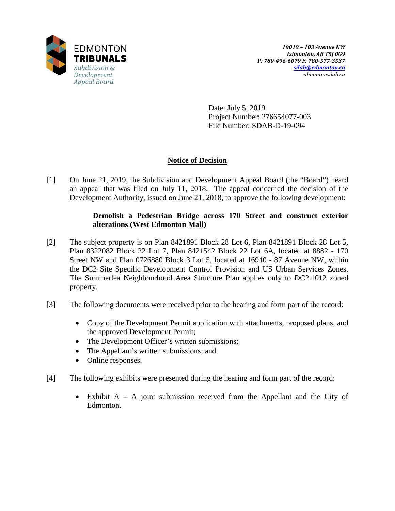

Date: July 5, 2019 Project Number: 276654077-003 File Number: SDAB-D-19-094

# **Notice of Decision**

[1] On June 21, 2019, the Subdivision and Development Appeal Board (the "Board") heard an appeal that was filed on July 11, 2018. The appeal concerned the decision of the Development Authority, issued on June 21, 2018, to approve the following development:

## **Demolish a Pedestrian Bridge across 170 Street and construct exterior alterations (West Edmonton Mall)**

- [2] The subject property is on Plan 8421891 Block 28 Lot 6, Plan 8421891 Block 28 Lot 5, Plan 8322082 Block 22 Lot 7, Plan 8421542 Block 22 Lot 6A, located at 8882 - 170 Street NW and Plan 0726880 Block 3 Lot 5, located at 16940 - 87 Avenue NW, within the DC2 Site Specific Development Control Provision and US Urban Services Zones. The Summerlea Neighbourhood Area Structure Plan applies only to DC2.1012 zoned property.
- [3] The following documents were received prior to the hearing and form part of the record:
	- Copy of the Development Permit application with attachments, proposed plans, and the approved Development Permit;
	- The Development Officer's written submissions;
	- The Appellant's written submissions; and
	- Online responses.
- [4] The following exhibits were presented during the hearing and form part of the record:
	- Exhibit A A joint submission received from the Appellant and the City of Edmonton.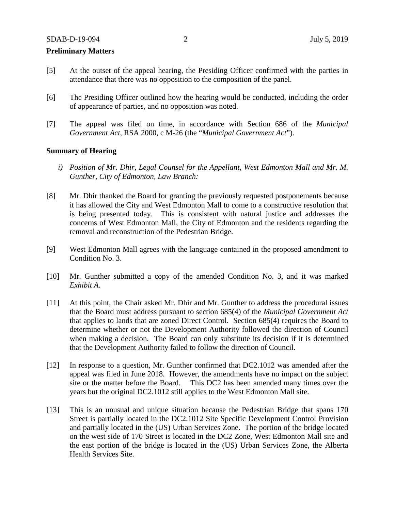## **Preliminary Matters**

- [5] At the outset of the appeal hearing, the Presiding Officer confirmed with the parties in attendance that there was no opposition to the composition of the panel.
- [6] The Presiding Officer outlined how the hearing would be conducted, including the order of appearance of parties, and no opposition was noted.
- [7] The appeal was filed on time, in accordance with Section 686 of the *Municipal Government Act*, RSA 2000, c M-26 (the "*Municipal Government Act*").

## **Summary of Hearing**

- *i) Position of Mr. Dhir, Legal Counsel for the Appellant, West Edmonton Mall and Mr. M. Gunther, City of Edmonton, Law Branch:*
- [8] Mr. Dhir thanked the Board for granting the previously requested postponements because it has allowed the City and West Edmonton Mall to come to a constructive resolution that is being presented today. This is consistent with natural justice and addresses the concerns of West Edmonton Mall, the City of Edmonton and the residents regarding the removal and reconstruction of the Pedestrian Bridge.
- [9] West Edmonton Mall agrees with the language contained in the proposed amendment to Condition No. 3.
- [10] Mr. Gunther submitted a copy of the amended Condition No. 3, and it was marked *Exhibit A*.
- [11] At this point, the Chair asked Mr. Dhir and Mr. Gunther to address the procedural issues that the Board must address pursuant to section 685(4) of the *Municipal Government Act* that applies to lands that are zoned Direct Control. Section 685(4) requires the Board to determine whether or not the Development Authority followed the direction of Council when making a decision. The Board can only substitute its decision if it is determined that the Development Authority failed to follow the direction of Council.
- [12] In response to a question, Mr. Gunther confirmed that DC2.1012 was amended after the appeal was filed in June 2018. However, the amendments have no impact on the subject site or the matter before the Board. This DC2 has been amended many times over the years but the original DC2.1012 still applies to the West Edmonton Mall site.
- [13] This is an unusual and unique situation because the Pedestrian Bridge that spans 170 Street is partially located in the DC2.1012 Site Specific Development Control Provision and partially located in the (US) Urban Services Zone. The portion of the bridge located on the west side of 170 Street is located in the DC2 Zone, West Edmonton Mall site and the east portion of the bridge is located in the (US) Urban Services Zone, the Alberta Health Services Site.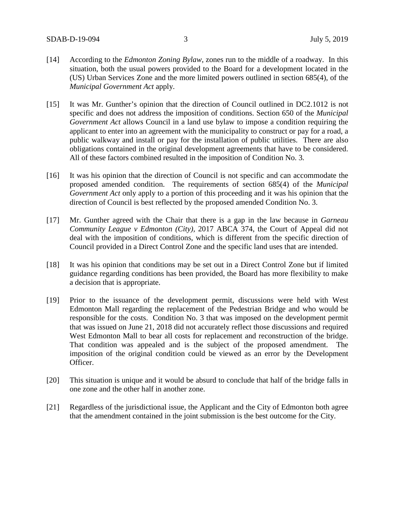- [14] According to the *Edmonton Zoning Bylaw*, zones run to the middle of a roadway. In this situation, both the usual powers provided to the Board for a development located in the (US) Urban Services Zone and the more limited powers outlined in section 685(4), of the *Municipal Government Act* apply.
- [15] It was Mr. Gunther's opinion that the direction of Council outlined in DC2.1012 is not specific and does not address the imposition of conditions. Section 650 of the *Municipal Government Act* allows Council in a land use bylaw to impose a condition requiring the applicant to enter into an agreement with the municipality to construct or pay for a road, a public walkway and install or pay for the installation of public utilities. There are also obligations contained in the original development agreements that have to be considered. All of these factors combined resulted in the imposition of Condition No. 3.
- [16] It was his opinion that the direction of Council is not specific and can accommodate the proposed amended condition. The requirements of section 685(4) of the *Municipal Government Act* only apply to a portion of this proceeding and it was his opinion that the direction of Council is best reflected by the proposed amended Condition No. 3.
- [17] Mr. Gunther agreed with the Chair that there is a gap in the law because in *Garneau Community League v Edmonton (City),* 2017 ABCA 374, the Court of Appeal did not deal with the imposition of conditions, which is different from the specific direction of Council provided in a Direct Control Zone and the specific land uses that are intended.
- [18] It was his opinion that conditions may be set out in a Direct Control Zone but if limited guidance regarding conditions has been provided, the Board has more flexibility to make a decision that is appropriate.
- [19] Prior to the issuance of the development permit, discussions were held with West Edmonton Mall regarding the replacement of the Pedestrian Bridge and who would be responsible for the costs. Condition No. 3 that was imposed on the development permit that was issued on June 21, 2018 did not accurately reflect those discussions and required West Edmonton Mall to bear all costs for replacement and reconstruction of the bridge. That condition was appealed and is the subject of the proposed amendment. The imposition of the original condition could be viewed as an error by the Development Officer.
- [20] This situation is unique and it would be absurd to conclude that half of the bridge falls in one zone and the other half in another zone.
- [21] Regardless of the jurisdictional issue, the Applicant and the City of Edmonton both agree that the amendment contained in the joint submission is the best outcome for the City.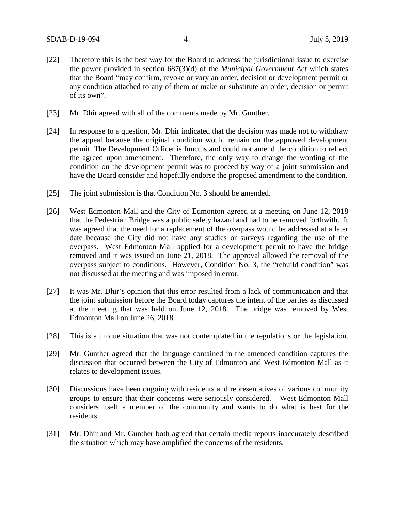- [22] Therefore this is the best way for the Board to address the jurisdictional issue to exercise the power provided in section 687(3)(d) of the *Municipal Government Act* which states that the Board "may confirm, revoke or vary an order, decision or development permit or any condition attached to any of them or make or substitute an order, decision or permit of its own".
- [23] Mr. Dhir agreed with all of the comments made by Mr. Gunther.
- [24] In response to a question, Mr. Dhir indicated that the decision was made not to withdraw the appeal because the original condition would remain on the approved development permit. The Development Officer is functus and could not amend the condition to reflect the agreed upon amendment. Therefore, the only way to change the wording of the condition on the development permit was to proceed by way of a joint submission and have the Board consider and hopefully endorse the proposed amendment to the condition.
- [25] The joint submission is that Condition No. 3 should be amended.
- [26] West Edmonton Mall and the City of Edmonton agreed at a meeting on June 12, 2018 that the Pedestrian Bridge was a public safety hazard and had to be removed forthwith. It was agreed that the need for a replacement of the overpass would be addressed at a later date because the City did not have any studies or surveys regarding the use of the overpass. West Edmonton Mall applied for a development permit to have the bridge removed and it was issued on June 21, 2018. The approval allowed the removal of the overpass subject to conditions. However, Condition No. 3, the "rebuild condition" was not discussed at the meeting and was imposed in error.
- [27] It was Mr. Dhir's opinion that this error resulted from a lack of communication and that the joint submission before the Board today captures the intent of the parties as discussed at the meeting that was held on June 12, 2018. The bridge was removed by West Edmonton Mall on June 26, 2018.
- [28] This is a unique situation that was not contemplated in the regulations or the legislation.
- [29] Mr. Gunther agreed that the language contained in the amended condition captures the discussion that occurred between the City of Edmonton and West Edmonton Mall as it relates to development issues.
- [30] Discussions have been ongoing with residents and representatives of various community groups to ensure that their concerns were seriously considered. West Edmonton Mall considers itself a member of the community and wants to do what is best for the residents.
- [31] Mr. Dhir and Mr. Gunther both agreed that certain media reports inaccurately described the situation which may have amplified the concerns of the residents.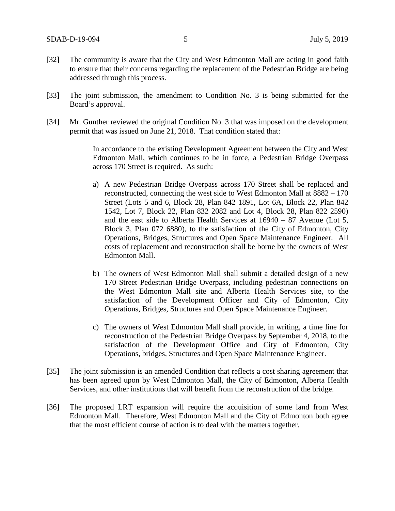- [32] The community is aware that the City and West Edmonton Mall are acting in good faith to ensure that their concerns regarding the replacement of the Pedestrian Bridge are being addressed through this process.
- [33] The joint submission, the amendment to Condition No. 3 is being submitted for the Board's approval.
- [34] Mr. Gunther reviewed the original Condition No. 3 that was imposed on the development permit that was issued on June 21, 2018. That condition stated that:

In accordance to the existing Development Agreement between the City and West Edmonton Mall, which continues to be in force, a Pedestrian Bridge Overpass across 170 Street is required. As such:

- a) A new Pedestrian Bridge Overpass across 170 Street shall be replaced and reconstructed, connecting the west side to West Edmonton Mall at 8882 – 170 Street (Lots 5 and 6, Block 28, Plan 842 1891, Lot 6A, Block 22, Plan 842 1542, Lot 7, Block 22, Plan 832 2082 and Lot 4, Block 28, Plan 822 2590) and the east side to Alberta Health Services at 16940 – 87 Avenue (Lot 5, Block 3, Plan 072 6880), to the satisfaction of the City of Edmonton, City Operations, Bridges, Structures and Open Space Maintenance Engineer. All costs of replacement and reconstruction shall be borne by the owners of West Edmonton Mall.
- b) The owners of West Edmonton Mall shall submit a detailed design of a new 170 Street Pedestrian Bridge Overpass, including pedestrian connections on the West Edmonton Mall site and Alberta Health Services site, to the satisfaction of the Development Officer and City of Edmonton, City Operations, Bridges, Structures and Open Space Maintenance Engineer.
- c) The owners of West Edmonton Mall shall provide, in writing, a time line for reconstruction of the Pedestrian Bridge Overpass by September 4, 2018, to the satisfaction of the Development Office and City of Edmonton, City Operations, bridges, Structures and Open Space Maintenance Engineer.
- [35] The joint submission is an amended Condition that reflects a cost sharing agreement that has been agreed upon by West Edmonton Mall, the City of Edmonton, Alberta Health Services, and other institutions that will benefit from the reconstruction of the bridge.
- [36] The proposed LRT expansion will require the acquisition of some land from West Edmonton Mall. Therefore, West Edmonton Mall and the City of Edmonton both agree that the most efficient course of action is to deal with the matters together.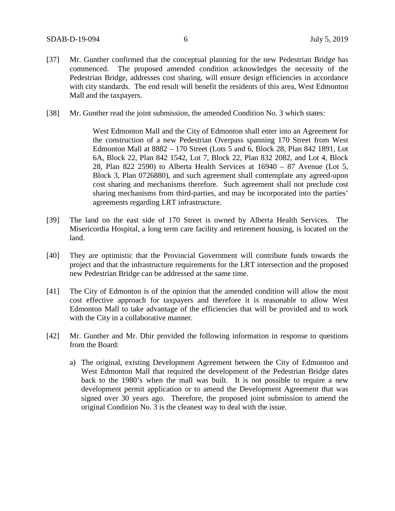- [37] Mr. Gunther confirmed that the conceptual planning for the new Pedestrian Bridge has commenced. The proposed amended condition acknowledges the necessity of the Pedestrian Bridge, addresses cost sharing, will ensure design efficiencies in accordance with city standards. The end result will benefit the residents of this area, West Edmonton Mall and the taxpayers.
- [38] Mr. Gunther read the joint submission, the amended Condition No. 3 which states:

West Edmonton Mall and the City of Edmonton shall enter into an Agreement for the construction of a new Pedestrian Overpass spanning 170 Street from West Edmonton Mall at 8882 – 170 Street (Lots 5 and 6, Block 28, Plan 842 1891, Lot 6A, Block 22, Plan 842 1542, Lot 7, Block 22, Plan 832 2082, and Lot 4, Block 28, Plan 822 2590) to Alberta Health Services at 16940 – 87 Avenue (Lot 5, Block 3, Plan 0726880), and such agreement shall contemplate any agreed-upon cost sharing and mechanisms therefore. Such agreement shall not preclude cost sharing mechanisms from third-parties, and may be incorporated into the parties' agreements regarding LRT infrastructure.

- [39] The land on the east side of 170 Street is owned by Alberta Health Services. The Misericordia Hospital, a long term care facility and retirement housing, is located on the land.
- [40] They are optimistic that the Provincial Government will contribute funds towards the project and that the infrastructure requirements for the LRT intersection and the proposed new Pedestrian Bridge can be addressed at the same time.
- [41] The City of Edmonton is of the opinion that the amended condition will allow the most cost effective approach for taxpayers and therefore it is reasonable to allow West Edmonton Mall to take advantage of the efficiencies that will be provided and to work with the City in a collaborative manner.
- [42] Mr. Gunther and Mr. Dhir provided the following information in response to questions from the Board:
	- a) The original, existing Development Agreement between the City of Edmonton and West Edmonton Mall that required the development of the Pedestrian Bridge dates back to the 1980's when the mall was built. It is not possible to require a new development permit application or to amend the Development Agreement that was signed over 30 years ago. Therefore, the proposed joint submission to amend the original Condition No. 3 is the cleanest way to deal with the issue.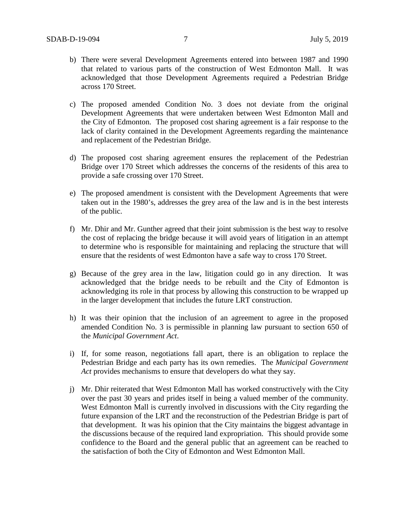- b) There were several Development Agreements entered into between 1987 and 1990 that related to various parts of the construction of West Edmonton Mall. It was acknowledged that those Development Agreements required a Pedestrian Bridge across 170 Street.
- c) The proposed amended Condition No. 3 does not deviate from the original Development Agreements that were undertaken between West Edmonton Mall and the City of Edmonton. The proposed cost sharing agreement is a fair response to the lack of clarity contained in the Development Agreements regarding the maintenance and replacement of the Pedestrian Bridge.
- d) The proposed cost sharing agreement ensures the replacement of the Pedestrian Bridge over 170 Street which addresses the concerns of the residents of this area to provide a safe crossing over 170 Street.
- e) The proposed amendment is consistent with the Development Agreements that were taken out in the 1980's, addresses the grey area of the law and is in the best interests of the public.
- f) Mr. Dhir and Mr. Gunther agreed that their joint submission is the best way to resolve the cost of replacing the bridge because it will avoid years of litigation in an attempt to determine who is responsible for maintaining and replacing the structure that will ensure that the residents of west Edmonton have a safe way to cross 170 Street.
- g) Because of the grey area in the law, litigation could go in any direction. It was acknowledged that the bridge needs to be rebuilt and the City of Edmonton is acknowledging its role in that process by allowing this construction to be wrapped up in the larger development that includes the future LRT construction.
- h) It was their opinion that the inclusion of an agreement to agree in the proposed amended Condition No. 3 is permissible in planning law pursuant to section 650 of the *Municipal Government Act*.
- i) If, for some reason, negotiations fall apart, there is an obligation to replace the Pedestrian Bridge and each party has its own remedies. The *Municipal Government Act* provides mechanisms to ensure that developers do what they say.
- j) Mr. Dhir reiterated that West Edmonton Mall has worked constructively with the City over the past 30 years and prides itself in being a valued member of the community. West Edmonton Mall is currently involved in discussions with the City regarding the future expansion of the LRT and the reconstruction of the Pedestrian Bridge is part of that development. It was his opinion that the City maintains the biggest advantage in the discussions because of the required land expropriation. This should provide some confidence to the Board and the general public that an agreement can be reached to the satisfaction of both the City of Edmonton and West Edmonton Mall.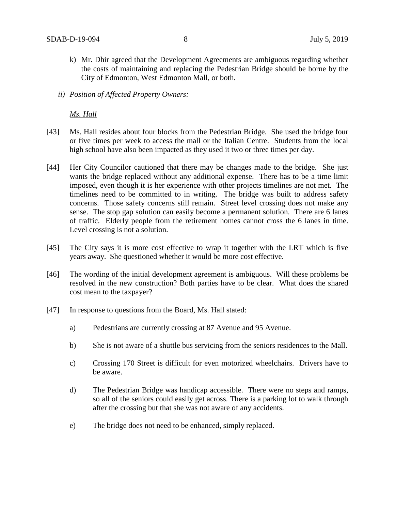- k) Mr. Dhir agreed that the Development Agreements are ambiguous regarding whether the costs of maintaining and replacing the Pedestrian Bridge should be borne by the City of Edmonton, West Edmonton Mall, or both.
- *ii) Position of Affected Property Owners:*

*Ms. Hall* 

- [43] Ms. Hall resides about four blocks from the Pedestrian Bridge. She used the bridge four or five times per week to access the mall or the Italian Centre. Students from the local high school have also been impacted as they used it two or three times per day.
- [44] Her City Councilor cautioned that there may be changes made to the bridge. She just wants the bridge replaced without any additional expense. There has to be a time limit imposed, even though it is her experience with other projects timelines are not met. The timelines need to be committed to in writing. The bridge was built to address safety concerns. Those safety concerns still remain. Street level crossing does not make any sense. The stop gap solution can easily become a permanent solution. There are 6 lanes of traffic. Elderly people from the retirement homes cannot cross the 6 lanes in time. Level crossing is not a solution.
- [45] The City says it is more cost effective to wrap it together with the LRT which is five years away. She questioned whether it would be more cost effective.
- [46] The wording of the initial development agreement is ambiguous. Will these problems be resolved in the new construction? Both parties have to be clear. What does the shared cost mean to the taxpayer?
- [47] In response to questions from the Board, Ms. Hall stated:
	- a) Pedestrians are currently crossing at 87 Avenue and 95 Avenue.
	- b) She is not aware of a shuttle bus servicing from the seniors residences to the Mall.
	- c) Crossing 170 Street is difficult for even motorized wheelchairs. Drivers have to be aware.
	- d) The Pedestrian Bridge was handicap accessible. There were no steps and ramps, so all of the seniors could easily get across. There is a parking lot to walk through after the crossing but that she was not aware of any accidents.
	- e) The bridge does not need to be enhanced, simply replaced.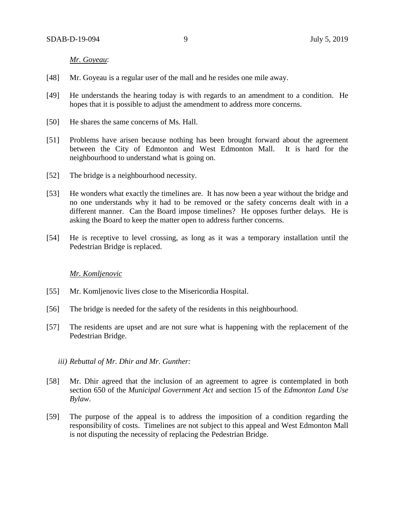*Mr. Goyeau*:

- [48] Mr. Goyeau is a regular user of the mall and he resides one mile away.
- [49] He understands the hearing today is with regards to an amendment to a condition. He hopes that it is possible to adjust the amendment to address more concerns.
- [50] He shares the same concerns of Ms. Hall.
- [51] Problems have arisen because nothing has been brought forward about the agreement between the City of Edmonton and West Edmonton Mall. It is hard for the neighbourhood to understand what is going on.
- [52] The bridge is a neighbourhood necessity.
- [53] He wonders what exactly the timelines are. It has now been a year without the bridge and no one understands why it had to be removed or the safety concerns dealt with in a different manner. Can the Board impose timelines? He opposes further delays. He is asking the Board to keep the matter open to address further concerns.
- [54] He is receptive to level crossing, as long as it was a temporary installation until the Pedestrian Bridge is replaced.

#### *Mr. Komljenovic*

- [55] Mr. Komljenovic lives close to the Misericordia Hospital.
- [56] The bridge is needed for the safety of the residents in this neighbourhood.
- [57] The residents are upset and are not sure what is happening with the replacement of the Pedestrian Bridge.

#### *iii) Rebuttal of Mr. Dhir and Mr. Gunther:*

- [58] Mr. Dhir agreed that the inclusion of an agreement to agree is contemplated in both section 650 of the *Municipal Government Act* and section 15 of the *Edmonton Land Use Bylaw*.
- [59] The purpose of the appeal is to address the imposition of a condition regarding the responsibility of costs. Timelines are not subject to this appeal and West Edmonton Mall is not disputing the necessity of replacing the Pedestrian Bridge.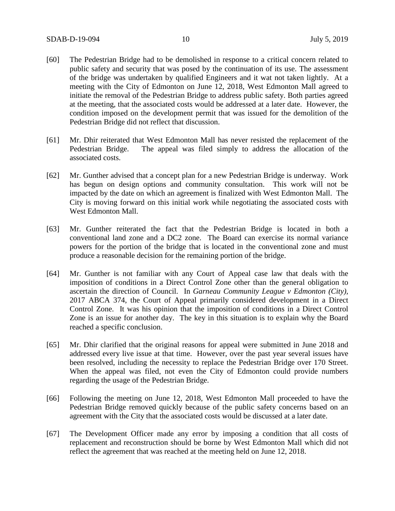- [60] The Pedestrian Bridge had to be demolished in response to a critical concern related to public safety and security that was posed by the continuation of its use. The assessment of the bridge was undertaken by qualified Engineers and it wat not taken lightly. At a meeting with the City of Edmonton on June 12, 2018, West Edmonton Mall agreed to initiate the removal of the Pedestrian Bridge to address public safety. Both parties agreed at the meeting, that the associated costs would be addressed at a later date. However, the condition imposed on the development permit that was issued for the demolition of the Pedestrian Bridge did not reflect that discussion.
- [61] Mr. Dhir reiterated that West Edmonton Mall has never resisted the replacement of the Pedestrian Bridge. The appeal was filed simply to address the allocation of the associated costs.
- [62] Mr. Gunther advised that a concept plan for a new Pedestrian Bridge is underway. Work has begun on design options and community consultation. This work will not be impacted by the date on which an agreement is finalized with West Edmonton Mall. The City is moving forward on this initial work while negotiating the associated costs with West Edmonton Mall.
- [63] Mr. Gunther reiterated the fact that the Pedestrian Bridge is located in both a conventional land zone and a DC2 zone. The Board can exercise its normal variance powers for the portion of the bridge that is located in the conventional zone and must produce a reasonable decision for the remaining portion of the bridge.
- [64] Mr. Gunther is not familiar with any Court of Appeal case law that deals with the imposition of conditions in a Direct Control Zone other than the general obligation to ascertain the direction of Council. In *Garneau Community League v Edmonton (City),* 2017 ABCA 374, the Court of Appeal primarily considered development in a Direct Control Zone. It was his opinion that the imposition of conditions in a Direct Control Zone is an issue for another day. The key in this situation is to explain why the Board reached a specific conclusion.
- [65] Mr. Dhir clarified that the original reasons for appeal were submitted in June 2018 and addressed every live issue at that time. However, over the past year several issues have been resolved, including the necessity to replace the Pedestrian Bridge over 170 Street. When the appeal was filed, not even the City of Edmonton could provide numbers regarding the usage of the Pedestrian Bridge.
- [66] Following the meeting on June 12, 2018, West Edmonton Mall proceeded to have the Pedestrian Bridge removed quickly because of the public safety concerns based on an agreement with the City that the associated costs would be discussed at a later date.
- [67] The Development Officer made any error by imposing a condition that all costs of replacement and reconstruction should be borne by West Edmonton Mall which did not reflect the agreement that was reached at the meeting held on June 12, 2018.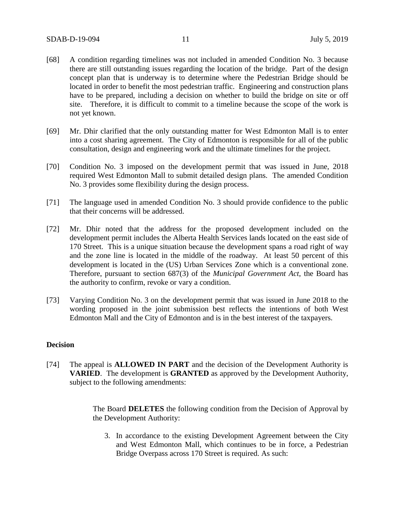- [68] A condition regarding timelines was not included in amended Condition No. 3 because there are still outstanding issues regarding the location of the bridge. Part of the design concept plan that is underway is to determine where the Pedestrian Bridge should be located in order to benefit the most pedestrian traffic. Engineering and construction plans have to be prepared, including a decision on whether to build the bridge on site or off site. Therefore, it is difficult to commit to a timeline because the scope of the work is not yet known.
- [69] Mr. Dhir clarified that the only outstanding matter for West Edmonton Mall is to enter into a cost sharing agreement. The City of Edmonton is responsible for all of the public consultation, design and engineering work and the ultimate timelines for the project.
- [70] Condition No. 3 imposed on the development permit that was issued in June, 2018 required West Edmonton Mall to submit detailed design plans. The amended Condition No. 3 provides some flexibility during the design process.
- [71] The language used in amended Condition No. 3 should provide confidence to the public that their concerns will be addressed.
- [72] Mr. Dhir noted that the address for the proposed development included on the development permit includes the Alberta Health Services lands located on the east side of 170 Street. This is a unique situation because the development spans a road right of way and the zone line is located in the middle of the roadway. At least 50 percent of this development is located in the (US) Urban Services Zone which is a conventional zone. Therefore, pursuant to section 687(3) of the *Municipal Government Act*, the Board has the authority to confirm, revoke or vary a condition.
- [73] Varying Condition No. 3 on the development permit that was issued in June 2018 to the wording proposed in the joint submission best reflects the intentions of both West Edmonton Mall and the City of Edmonton and is in the best interest of the taxpayers.

## **Decision**

[74] The appeal is **ALLOWED IN PART** and the decision of the Development Authority is **VARIED**. The development is **GRANTED** as approved by the Development Authority, subject to the following amendments:

> The Board **DELETES** the following condition from the Decision of Approval by the Development Authority:

3. In accordance to the existing Development Agreement between the City and West Edmonton Mall, which continues to be in force, a Pedestrian Bridge Overpass across 170 Street is required. As such: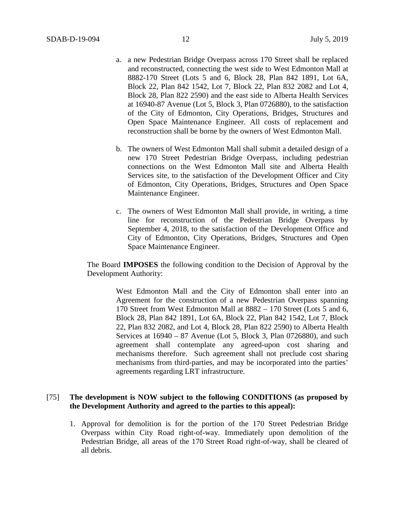- a. a new Pedestrian Bridge Overpass across 170 Street shall be replaced and reconstructed, connecting the west side to West Edmonton Mall at 8882-170 Street (Lots 5 and 6, Block 28, Plan 842 1891, Lot 6A, Block 22, Plan 842 1542, Lot 7, Block 22, Plan 832 2082 and Lot 4, Block 28, Plan 822 2590) and the east side to Alberta Health Services at 16940-87 Avenue (Lot 5, Block 3, Plan 0726880), to the satisfaction of the City of Edmonton, City Operations, Bridges, Structures and Open Space Maintenance Engineer. All costs of replacement and reconstruction shall be borne by the owners of West Edmonton Mall.
- b. The owners of West Edmonton Mall shall submit a detailed design of a new 170 Street Pedestrian Bridge Overpass, including pedestrian connections on the West Edmonton Mall site and Alberta Health Services site, to the satisfaction of the Development Officer and City of Edmonton, City Operations, Bridges, Structures and Open Space Maintenance Engineer.
- c. The owners of West Edmonton Mall shall provide, in writing, a time line for reconstruction of the Pedestrian Bridge Overpass by September 4, 2018, to the satisfaction of the Development Office and City of Edmonton, City Operations, Bridges, Structures and Open Space Maintenance Engineer.

The Board **IMPOSES** the following condition to the Decision of Approval by the Development Authority:

> West Edmonton Mall and the City of Edmonton shall enter into an Agreement for the construction of a new Pedestrian Overpass spanning 170 Street from West Edmonton Mall at 8882 – 170 Street (Lots 5 and 6, Block 28, Plan 842 1891, Lot 6A, Block 22, Plan 842 1542, Lot 7, Block 22, Plan 832 2082, and Lot 4, Block 28, Plan 822 2590) to Alberta Health Services at 16940 – 87 Avenue (Lot 5, Block 3, Plan 0726880), and such agreement shall contemplate any agreed-upon cost sharing and mechanisms therefore. Such agreement shall not preclude cost sharing mechanisms from third-parties, and may be incorporated into the parties' agreements regarding LRT infrastructure.

## [75] **The development is NOW subject to the following CONDITIONS (as proposed by the Development Authority and agreed to the parties to this appeal):**

1. Approval for demolition is for the portion of the 170 Street Pedestrian Bridge Overpass within City Road right-of-way. Immediately upon demolition of the Pedestrian Bridge, all areas of the 170 Street Road right-of-way, shall be cleared of all debris.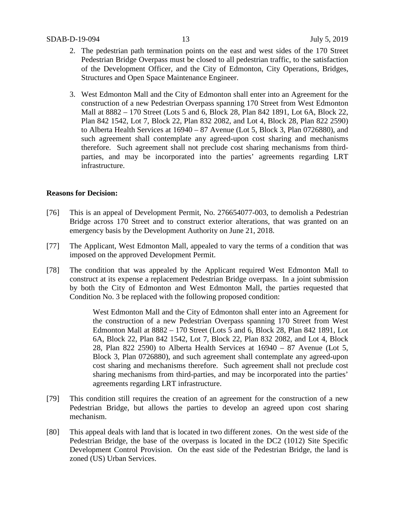- 2. The pedestrian path termination points on the east and west sides of the 170 Street Pedestrian Bridge Overpass must be closed to all pedestrian traffic, to the satisfaction of the Development Officer, and the City of Edmonton, City Operations, Bridges, Structures and Open Space Maintenance Engineer.
- 3. West Edmonton Mall and the City of Edmonton shall enter into an Agreement for the construction of a new Pedestrian Overpass spanning 170 Street from West Edmonton Mall at 8882 – 170 Street (Lots 5 and 6, Block 28, Plan 842 1891, Lot 6A, Block 22, Plan 842 1542, Lot 7, Block 22, Plan 832 2082, and Lot 4, Block 28, Plan 822 2590) to Alberta Health Services at 16940 – 87 Avenue (Lot 5, Block 3, Plan 0726880), and such agreement shall contemplate any agreed-upon cost sharing and mechanisms therefore. Such agreement shall not preclude cost sharing mechanisms from thirdparties, and may be incorporated into the parties' agreements regarding LRT infrastructure.

## **Reasons for Decision:**

- [76] This is an appeal of Development Permit, No. 276654077-003, to demolish a Pedestrian Bridge across 170 Street and to construct exterior alterations, that was granted on an emergency basis by the Development Authority on June 21, 2018.
- [77] The Applicant, West Edmonton Mall, appealed to vary the terms of a condition that was imposed on the approved Development Permit.
- [78] The condition that was appealed by the Applicant required West Edmonton Mall to construct at its expense a replacement Pedestrian Bridge overpass. In a joint submission by both the City of Edmonton and West Edmonton Mall, the parties requested that Condition No. 3 be replaced with the following proposed condition:

West Edmonton Mall and the City of Edmonton shall enter into an Agreement for the construction of a new Pedestrian Overpass spanning 170 Street from West Edmonton Mall at 8882 – 170 Street (Lots 5 and 6, Block 28, Plan 842 1891, Lot 6A, Block 22, Plan 842 1542, Lot 7, Block 22, Plan 832 2082, and Lot 4, Block 28, Plan 822 2590) to Alberta Health Services at 16940 – 87 Avenue (Lot 5, Block 3, Plan 0726880), and such agreement shall contemplate any agreed-upon cost sharing and mechanisms therefore. Such agreement shall not preclude cost sharing mechanisms from third-parties, and may be incorporated into the parties' agreements regarding LRT infrastructure.

- [79] This condition still requires the creation of an agreement for the construction of a new Pedestrian Bridge, but allows the parties to develop an agreed upon cost sharing mechanism.
- [80] This appeal deals with land that is located in two different zones. On the west side of the Pedestrian Bridge, the base of the overpass is located in the DC2 (1012) Site Specific Development Control Provision. On the east side of the Pedestrian Bridge, the land is zoned (US) Urban Services.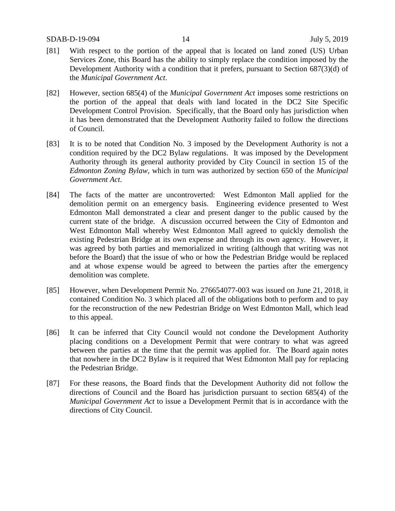- [81] With respect to the portion of the appeal that is located on land zoned (US) Urban Services Zone, this Board has the ability to simply replace the condition imposed by the Development Authority with a condition that it prefers, pursuant to Section 687(3)(d) of the *Municipal Government Act*.
- [82] However, section 685(4) of the *Municipal Government Act* imposes some restrictions on the portion of the appeal that deals with land located in the DC2 Site Specific Development Control Provision. Specifically, that the Board only has jurisdiction when it has been demonstrated that the Development Authority failed to follow the directions of Council.
- [83] It is to be noted that Condition No. 3 imposed by the Development Authority is not a condition required by the DC2 Bylaw regulations. It was imposed by the Development Authority through its general authority provided by City Council in section 15 of the *Edmonton Zoning Bylaw,* which in turn was authorized by section 650 of the *Municipal Government Act*.
- [84] The facts of the matter are uncontroverted: West Edmonton Mall applied for the demolition permit on an emergency basis. Engineering evidence presented to West Edmonton Mall demonstrated a clear and present danger to the public caused by the current state of the bridge. A discussion occurred between the City of Edmonton and West Edmonton Mall whereby West Edmonton Mall agreed to quickly demolish the existing Pedestrian Bridge at its own expense and through its own agency. However, it was agreed by both parties and memorialized in writing (although that writing was not before the Board) that the issue of who or how the Pedestrian Bridge would be replaced and at whose expense would be agreed to between the parties after the emergency demolition was complete.
- [85] However, when Development Permit No. 276654077-003 was issued on June 21, 2018, it contained Condition No. 3 which placed all of the obligations both to perform and to pay for the reconstruction of the new Pedestrian Bridge on West Edmonton Mall, which lead to this appeal.
- [86] It can be inferred that City Council would not condone the Development Authority placing conditions on a Development Permit that were contrary to what was agreed between the parties at the time that the permit was applied for. The Board again notes that nowhere in the DC2 Bylaw is it required that West Edmonton Mall pay for replacing the Pedestrian Bridge.
- [87] For these reasons, the Board finds that the Development Authority did not follow the directions of Council and the Board has jurisdiction pursuant to section 685(4) of the *Municipal Government Act* to issue a Development Permit that is in accordance with the directions of City Council.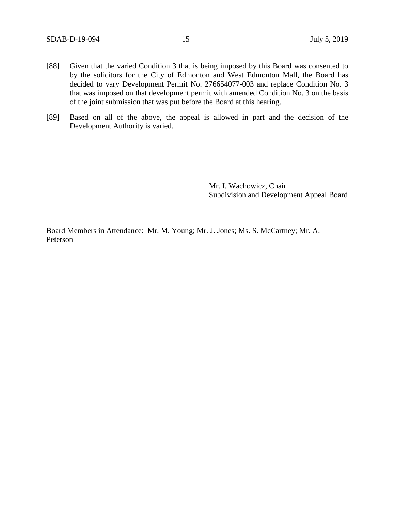- [88] Given that the varied Condition 3 that is being imposed by this Board was consented to by the solicitors for the City of Edmonton and West Edmonton Mall, the Board has decided to vary Development Permit No. 276654077-003 and replace Condition No. 3 that was imposed on that development permit with amended Condition No. 3 on the basis of the joint submission that was put before the Board at this hearing.
- [89] Based on all of the above, the appeal is allowed in part and the decision of the Development Authority is varied.

Mr. I. Wachowicz, Chair Subdivision and Development Appeal Board

Board Members in Attendance: Mr. M. Young; Mr. J. Jones; Ms. S. McCartney; Mr. A. Peterson